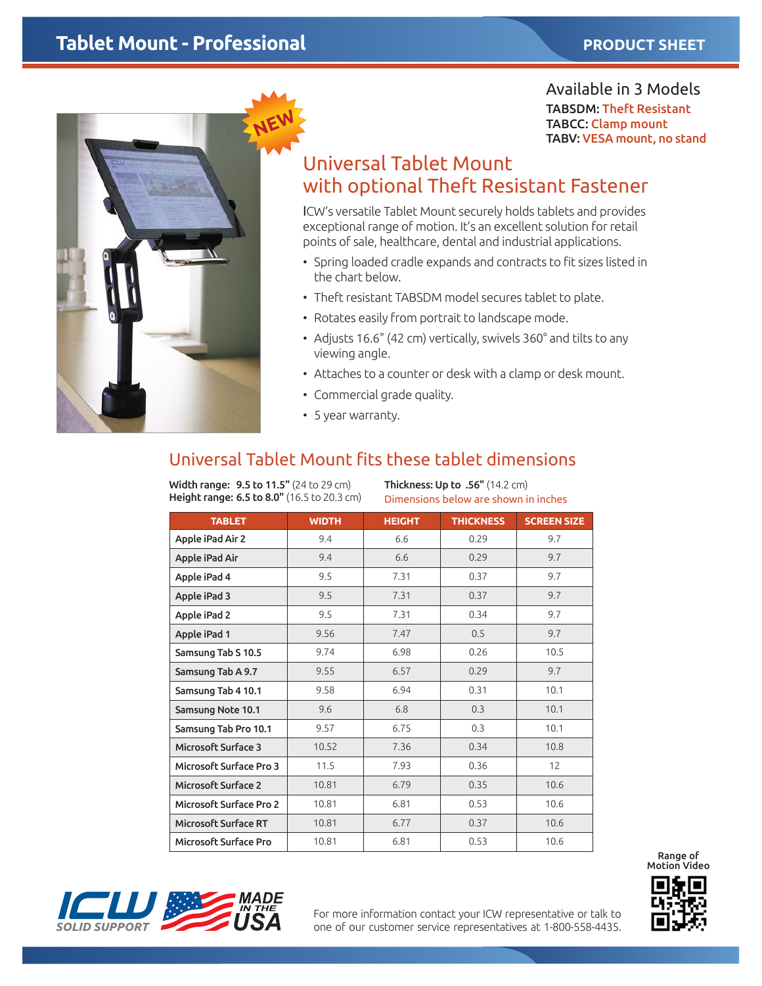# **Tablet Mount - Professional** *PRODUCT SHEET*



Available in 3 Models TABSDM: Theft Resistant TABCC: Clamp mount TABV: VESA mount, no stand

# Universal Tablet Mount with optional Theft Resistant Fastener

ICW's versatile Tablet Mount securely holds tablets and provides exceptional range of motion. It's an excellent solution for retail points of sale, healthcare, dental and industrial applications.

- Spring loaded cradle expands and contracts to fit sizes listed in the chart below.
- Theft resistant TABSDM model secures tablet to plate.
- Rotates easily from portrait to landscape mode.
- Adjusts 16.6" (42 cm) vertically, swivels 360° and tilts to any viewing angle.
- Attaches to a counter or desk with a clamp or desk mount.
- • Commercial grade quality.
- • 5 year warranty.

### Universal Tablet Mount fits these tablet dimensions

Width range: 9.5 to 11.5" (24 to 29 cm) Height range: 6.5 to 8.0" (16.5 to 20.3 cm) Thickness: Up to .56" (14.2 cm) Dimensions below are shown in inches

| <b>TABLET</b>                  | <b>WIDTH</b> | <b>HEIGHT</b> | <b>THICKNESS</b> | <b>SCREEN SIZE</b> |
|--------------------------------|--------------|---------------|------------------|--------------------|
| Apple iPad Air 2               | 9.4          | 6.6           | 0.29             | 9.7                |
| Apple iPad Air                 | 9.4          | 6.6           | 0.29             | 9.7                |
| Apple iPad 4                   | 9.5          | 7.31          | 0.37             | 9.7                |
| Apple iPad 3                   | 9.5          | 7.31          | 0.37             | 9.7                |
| Apple iPad 2                   | 9.5          | 7.31          | 0.34             | 9.7                |
| Apple iPad 1                   | 9.56         | 7.47          | 0.5              | 9.7                |
| Samsung Tab S 10.5             | 9.74         | 6.98          | 0.26             | 10.5               |
| Samsung Tab A 9.7              | 9.55         | 6.57          | 0.29             | 9.7                |
| Samsung Tab 4 10.1             | 9.58         | 6.94          | 0.31             | 10.1               |
| Samsung Note 10.1              | 9.6          | 6.8           | 0.3              | 10.1               |
| Samsung Tab Pro 10.1           | 9.57         | 6.75          | 0.3              | 10.1               |
| Microsoft Surface 3            | 10.52        | 7.36          | 0.34             | 10.8               |
| Microsoft Surface Pro 3        | 11.5         | 7.93          | 0.36             | 12                 |
| Microsoft Surface 2            | 10.81        | 6.79          | 0.35             | 10.6               |
| <b>Microsoft Surface Pro 2</b> | 10.81        | 6.81          | 0.53             | 10.6               |
| <b>Microsoft Surface RT</b>    | 10.81        | 6.77          | 0.37             | 10.6               |
| <b>Microsoft Surface Pro</b>   | 10.81        | 6.81          | 0.53             | 10.6               |



For more information contact your ICW representative or talk to one of our customer service representatives at 1-800-558-4435.



Range of